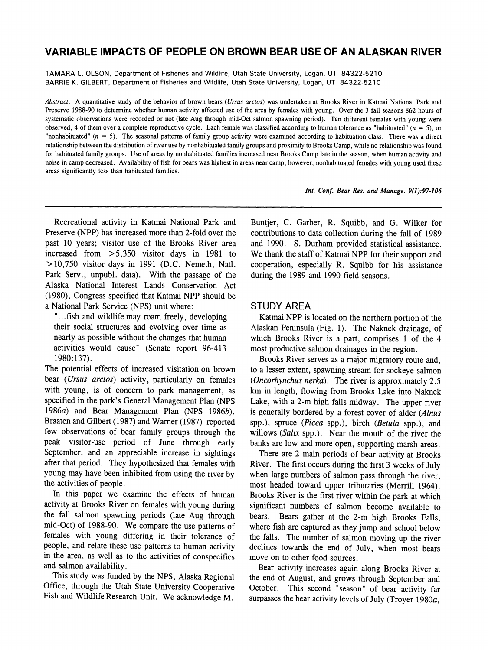# **VARIABLE IMPACTS OF PEOPLE ON BROWN BEAR USE OF AN ALASKAN RIVER**

**TAMARA L. OLSON, Department of Fisheries and Wildlife, Utah State University, Logan, UT 84322-5210 BARRIE K. GILBERT, Department of Fisheries and Wildlife, Utah State University, Logan, UT 84322-5210** 

**Abstract: A quantitative study of the behavior of brown bears (Ursus arctos) was undertaken at Brooks River in Katmai National Park and Preserve 1988-90 to determine whether human activity affected use of the area by females with young. Over the 3 fall seasons 862 hours of systematic observations were recorded or not (late Aug through mid-Oct salmon spawning period). Ten different females with young were**  observed, 4 of them over a complete reproductive cycle. Each female was classified according to human tolerance as "habituated"  $(n = 5)$ , or **"nonhabituated" (n = 5). The seasonal patterns of family group activity were examined according to habituation class. There was a direct relationship between the distribution of river use by nonhabituated family groups and proximity to Brooks Camp, while no relationship was found for habituated family groups. Use of areas by nonhabituated families increased near Brooks Camp late in the season, when human activity and noise in camp decreased. Availability of fish for bears was highest in areas near camp; however, nonhabituated females with young used these areas significantly less than habituated families.** 

**Int. Conf. Bear Res. and Manage. 9(1):97-106** 

**Recreational activity in Katmai National Park and Preserve (NPP) has increased more than 2-fold over the past 10 years; visitor use of the Brooks River area increased from >5,350 visitor days in 1981 to > 10,750 visitor days in 1991 (D.C. Nemeth, Natl. Park Serv., unpubl. data). With the passage of the Alaska National Interest Lands Conservation Act (1980), Congress specified that Katmai NPP should be a National Park Service (NPS) unit where:** 

**"...fish and wildlife may roam freely, developing their social structures and evolving over time as nearly as possible without the changes that human activities would cause" (Senate report 96-413 1980:137).** 

**The potential effects of increased visitation on brown bear (Ursus arctos) activity, particularly on females with young, is of concern to park management, as specified in the park's General Management Plan (NPS 1986a) and Bear Management Plan (NPS 1986b). Braaten and Gilbert (1987) and Warner (1987) reported few observations of bear family groups through the peak visitor-use period of June through early September, and an appreciable increase in sightings after that period. They hypothesized that females with young may have been inhibited from using the river by the activities of people.** 

**In this paper we examine the effects of human activity at Brooks River on females with young during the fall salmon spawning periods (late Aug through mid-Oct) of 1988-90. We compare the use patterns of females with young differing in their tolerance of people, and relate these use patterns to human activity in the area, as well as to the activities of conspecifics and salmon availability.** 

**This study was funded by the NPS, Alaska Regional Office, through the Utah State University Cooperative Fish and Wildlife Research Unit. We acknowledge M.** 

**Buntjer, C. Garber, R. Squibb, and G. Wilker for contributions to data collection during the fall of 1989 and 1990. S. Durham provided statistical assistance. We thank the staff of Katmai NPP for their support and cooperation, especially R. Squibb for his assistance during the 1989 and 1990 field seasons.** 

## **STUDY AREA**

**Katmai NPP is located on the northern portion of the Alaskan Peninsula (Fig. 1). The Naknek drainage, of which Brooks River is a part, comprises 1 of the 4 most productive salmon drainages in the region.** 

**Brooks River serves as a major migratory route and, to a lesser extent, spawning stream for sockeye salmon (Oncorhynchus nerka). The river is approximately 2.5 km in length, flowing from Brooks Lake into Naknek Lake, with a 2-m high falls midway. The upper river is generally bordered by a forest cover of alder (Alnus spp.), spruce (Picea spp.), birch (Betula spp.), and**  willows (*Salix spp.*). Near the mouth of the river the **banks are low and more open, supporting marsh areas.** 

**There are 2 main periods of bear activity at Brooks River. The first occurs during the first 3 weeks of July when large numbers of salmon pass through the river, most headed toward upper tributaries (Merrill 1964). Brooks River is the first river within the park at which significant numbers of salmon become available to bears. Bears gather at the 2-m high Brooks Falls, where fish are captured as they jump and school below the falls. The number of salmon moving up the river declines towards the end of July, when most bears move on to other food sources.** 

**Bear activity increases again along Brooks River at the end of August, and grows through September and October. This second "season" of bear activity far surpasses the bear activity levels of July (Troyer 1980a,**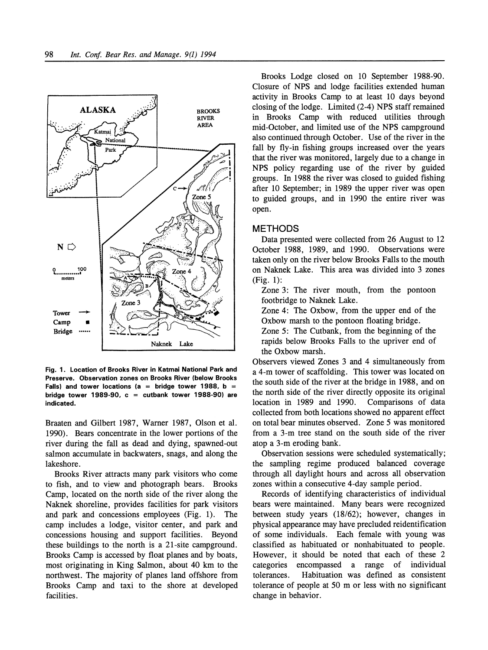

**Fig. 1. Location of Brooks River in Katmai National Park and Preserve. Observation zones on Brooks River (below Brooks Falls) and tower locations (a = bridge tower 1988, b = bridge tower 1989-90, c = cutbank tower 1988-90) are indicated.** 

**Braaten and Gilbert 1987, Warner 1987, Olson et al. 1990). Bears concentrate in the lower portions of the river during the fall as dead and dying, spawned-out salmon accumulate in backwaters, snags, and along the lakeshore.** 

**Brooks River attracts many park visitors who come to fish, and to view and photograph bears. Brooks Camp, located on the north side of the river along the Naknek shoreline, provides facilities for park visitors**  and park and concessions employees (Fig. 1). **camp includes a lodge, visitor center, and park and concessions housing and support facilities. Beyond these buildings to the north is a 21-site campground. Brooks Camp is accessed by float planes and by boats, most originating in King Salmon, about 40 km to the northwest. The majority of planes land offshore from Brooks Camp and taxi to the shore at developed facilities.** 

**Brooks Lodge closed on 10 September 1988-90. Closure of NPS and lodge facilities extended human activity in Brooks Camp to at least 10 days beyond closing of the lodge. Limited (2-4) NPS staff remained in Brooks Camp with reduced utilities through mid-October, and limited use of the NPS campground also continued through October. Use of the river in the fall by fly-in fishing groups increased over the years that the river was monitored, largely due to a change in NPS policy regarding use of the river by guided groups. In 1988 the river was closed to guided fishing after 10 September; in 1989 the upper river was open to guided groups, and in 1990 the entire river was open.** 

#### **METHODS**

**Data presented were collected from 26 August to 12 October 1988, 1989, and 1990. Observations were taken only on the river below Brooks Falls to the mouth on Naknek Lake. This area was divided into 3 zones (Fig. 1):** 

**Zone 3: The river mouth, from the pontoon footbridge to Naknek Lake.** 

**Zone 4: The Oxbow, from the upper end of the Oxbow marsh to the pontoon floating bridge.** 

**Zone 5: The Cutbank, from the beginning of the rapids below Brooks Falls to the upriver end of the Oxbow marsh.** 

**Observers viewed Zones 3 and 4 simultaneously from a 4-m tower of scaffolding. This tower was located on the south side of the river at the bridge in 1988, and on the north side of the river directly opposite its original location in 1989 and 1990. collected from both locations showed no apparent effect on total bear minutes observed. Zone 5 was monitored from a 3-m tree stand on the south side of the river atop a 3-m eroding bank.** 

**Observation sessions were scheduled systematically; the sampling regime produced balanced coverage through all daylight hours and across all observation zones within a consecutive 4-day sample period.** 

**Records of identifying characteristics of individual bears were maintained. Many bears were recognized between study years (18/62); however, changes in physical appearance may have precluded reidentification of some individuals. Each female with young was classified as habituated or nonhabituated to people. However, it should be noted that each of these 2 categories encompassed a range of individual**  Habituation was defined as consistent **tolerance of people at 50 m or less with no significant change in behavior.**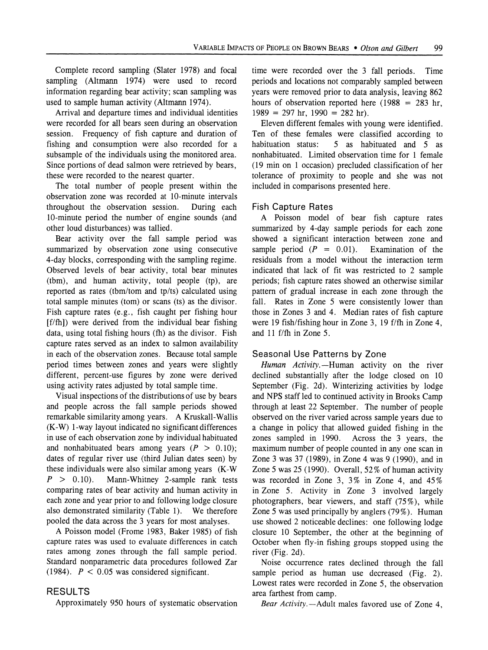**Complete record sampling (Slater 1978) and focal sampling (Altmann 1974) were used to record information regarding bear activity; scan sampling was used to sample human activity (Altmann 1974).** 

**Arrival and departure times and individual identities were recorded for all bears seen during an observation session. Frequency of fish capture and duration of fishing and consumption were also recorded for a subsample of the individuals using the monitored area. Since portions of dead salmon were retrieved by bears, these were recorded to the nearest quarter.** 

**The total number of people present within the observation zone was recorded at 10-minute intervals throughout the observation session. During each 10-minute period the number of engine sounds (and other loud disturbances) was tallied.** 

**Bear activity over the fall sample period was summarized by observation zone using consecutive 4-day blocks, corresponding with the sampling regime. Observed levels of bear activity, total bear minutes (tbm), and human activity, total people (tp), are reported as rates (tbm/tom and tp/ts) calculated using total sample minutes (tom) or scans (ts) as the divisor. Fish capture rates (e.g., fish caught per fishing hour [f/fh]) were derived from the individual bear fishing data, using total fishing hours (fh) as the divisor. Fish capture rates served as an index to salmon availability in each of the observation zones. Because total sample period times between zones and years were slightly different, percent-use figures by zone were derived using activity rates adjusted by total sample time.** 

**Visual inspections of the distributions of use by bears and people across the fall sample periods showed remarkable similarity among years. A Kruskall-Wallis (K-W) 1-way layout indicated no significant differences in use of each observation zone by individual habituated**  and nonhabituated bears among years  $(P > 0.10)$ ; **dates of regular river use (third Julian dates seen) by these individuals were also similar among years (K-W**  $P > 0.10$ **). Mann-Whitney 2-sample rank tests** Mann-Whitney 2-sample rank tests **comparing rates of bear activity and human activity in each zone and year prior to and following lodge closure also demonstrated similarity (Table 1). We therefore pooled the data across the 3 years for most analyses.** 

**A Poisson model (Frome 1983, Baker 1985) of fish capture rates was used to evaluate differences in catch rates among zones through the fall sample period. Standard nonparametric data procedures followed Zar (1984). P < 0.05 was considered significant.** 

### **RESULTS**

**Approximately 950 hours of systematic observation** 

**time were recorded over the 3 fall periods. Time periods and locations not comparably sampled between years were removed prior to data analysis, leaving 862**  hours of observation reported here  $(1988 = 283$  hr, **1989 = 297 hr, 1990 = 282 hr).** 

**Eleven different females with young were identified.**  Ten of these females were classified according to habituation status: 5 as habituated and 5 as 5 as habituated and 5 as **nonhabituated. Limited observation time for 1 female (19 min on 1 occasion) precluded classification of her tolerance of proximity to people and she was not included in comparisons presented here.** 

# **Fish Capture Rates**

**A Poisson model of bear fish capture rates summarized by 4-day sample periods for each zone showed a significant interaction between zone and**  sample period  $(P = 0.01)$ . Examination of the **residuals from a model without the interaction term indicated that lack of fit was restricted to 2 sample periods; fish capture rates showed an otherwise similar pattern of gradual increase in each zone through the fall. Rates in Zone 5 were consistently lower than those in Zones 3 and 4. Median rates of fish capture were 19 fish/fishing hour in Zone 3, 19 f/fh in Zone 4, and 11 f/fh in Zone 5.** 

### **Seasonal Use Patterns by Zone**

Human Activity.-Human activity on the river **declined substantially after the lodge closed on 10 September (Fig. 2d). Winterizing activities by lodge and NPS staff led to continued activity in Brooks Camp through at least 22 September. The number of people observed on the river varied across sample years due to a change in policy that allowed guided fishing in the**  Across the 3 years, the **maximum number of people counted in any one scan in Zone 3 was 37 (1989), in Zone 4 was 9 (1990), and in Zone 5 was 25 (1990). Overall, 52% of human activity was recorded in Zone 3, 3% in Zone 4, and 45% in Zone 5. Activity in Zone 3 involved largely photographers, bear viewers, and staff (75%), while Zone 5 was used principally by anglers (79%). Human use showed 2 noticeable declines: one following lodge closure 10 September, the other at the beginning of October when fly-in fishing groups stopped using the river (Fig. 2d).** 

**Noise occurrence rates declined through the fall sample period as human use decreased (Fig. 2). Lowest rates were recorded in Zone 5, the observation area farthest from camp.** 

Bear Activity. - Adult males favored use of Zone 4,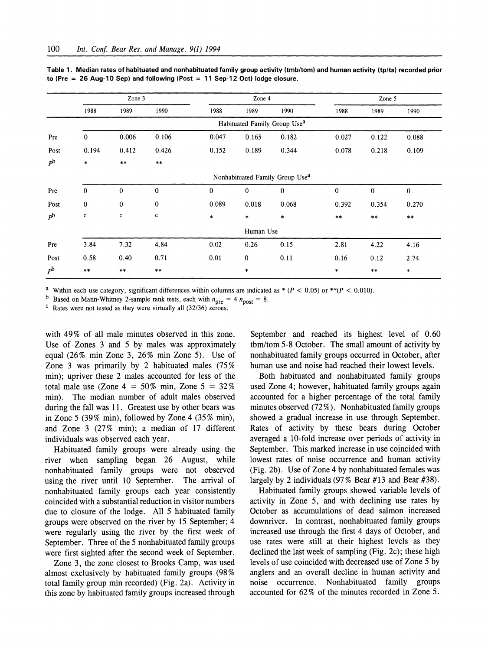|             | Zone 3                                      |             |              | Zone 4       |              |          | Zone 5       |              |          |
|-------------|---------------------------------------------|-------------|--------------|--------------|--------------|----------|--------------|--------------|----------|
|             | 1988                                        | 1989        | 1990         | 1988         | 1989         | 1990     | 1988         | 1989         | 1990     |
|             | Habituated Family Group Use <sup>a</sup>    |             |              |              |              |          |              |              |          |
| Pre         | $\mathbf{0}$                                | 0.006       | 0.106        | 0.047        | 0.165        | 0.182    | 0.027        | 0.122        | 0.088    |
| Post        | 0.194                                       | 0.412       | 0.426        | 0.152        | 0.189        | 0.344    | 0.078        | 0.218        | 0.109    |
| $P^{\rm b}$ | $\ast$                                      | $***$       | $***$        |              |              |          |              |              |          |
|             | Nonhabituated Family Group Use <sup>a</sup> |             |              |              |              |          |              |              |          |
| Pre         | $\bf{0}$                                    | $\bf{0}$    | $\mathbf{0}$ | $\mathbf{0}$ | $\mathbf{0}$ | $\bf{0}$ | $\mathbf{0}$ | $\mathbf{0}$ | $\bf{0}$ |
| Post        | $\bf{0}$                                    | $\bf{0}$    | $\bf{0}$     | 0.089        | 0.018        | 0.068    | 0.392        | 0.354        | 0.270    |
| $P^{\rm b}$ | $\mathbf c$                                 | $\mathbf c$ | $\mathbf c$  | $\ast$       | $\ast$       | $\ast$   | $***$        | $***$        | $***$    |
|             |                                             |             |              |              | Human Use    |          |              |              |          |
| Pre         | 3.84                                        | 7.32        | 4.84         | 0.02         | 0.26         | 0.15     | 2.81         | 4.22         | 4.16     |
| Post        | 0.58                                        | 0.40        | 0.71         | 0.01         | $\bf{0}$     | 0.11     | 0.16         | 0.12         | 2.74     |
| $P^{\rm b}$ | $***$                                       | $***$       | $***$        |              | $\ast$       |          | $\ast$       | $\star\star$ | $\ast$   |

**Table 1. Median rates of habituated and nonhabituated family group activity (tmb/tom) and human activity (tp/ts) recorded prior to (Pre = 26 Aug-10 Sep) and following (Post = 11 Sep-12 Oct) lodge closure.** 

<sup>a</sup> Within each use category, significant differences within columns are indicated as  $*(P < 0.05)$  or  $** (P < 0.010)$ .

<sup>b</sup> Based on Mann-Whitney 2-sample rank tests, each with  $n_{\text{pre}} = 4 n_{\text{post}} = 8$ .

**c Rates were not tested as they were virtually all (32/36) zeroes.** 

**with 49% of all male minutes observed in this zone. Use of Zones 3 and 5 by males was approximately equal (26% min Zone 3, 26% min Zone 5). Use of Zone 3 was primarily by 2 habituated males (75% min); upriver these 2 males accounted for less of the total male use (Zone 4 = 50% min, Zone 5 = 32% min). The median number of adult males observed during the fall was 11. Greatest use by other bears was in Zone 5 (39% min), followed by Zone 4 (35% min), and Zone 3 (27% min); a median of 17 different individuals was observed each year.** 

**Habituated family groups were already using the river when sampling began 26 August, while nonhabituated family groups were not observed using the river until 10 September. The arrival of nonhabituated family groups each year consistently coincided with a substantial reduction in visitor numbers due to closure of the lodge. All 5 habituated family groups were observed on the river by 15 September; 4 were regularly using the river by the first week of September. Three of the 5 nonhabituated family groups were first sighted after the second week of September.** 

**Zone 3, the zone closest to Brooks Camp, was used almost exclusively by habituated family groups (98% total family group min recorded) (Fig. 2a). Activity in this zone by habituated family groups increased through** 

**September and reached its highest level of 0.60 tbm/tom 5-8 October. The small amount of activity by nonhabituated family groups occurred in October, after human use and noise had reached their lowest levels.** 

**Both habituated and nonhabituated family groups used Zone 4; however, habituated family groups again accounted for a higher percentage of the total family minutes observed (72 %). Nonhabituated family groups showed a gradual increase in use through September. Rates of activity by these bears during October averaged a 10-fold increase over periods of activity in September. This marked increase in use coincided with lowest rates of noise occurrence and human activity (Fig. 2b). Use of Zone 4 by nonhabituated females was largely by 2 individuals (97% Bear #13 and Bear #38).** 

**Habituated family groups showed variable levels of activity in Zone 5, and with declining use rates by October as accumulations of dead salmon increased downriver. In contrast, nonhabituated family groups increased use through the first 4 days of October, and use rates were still at their highest levels as they declined the last week of sampling (Fig. 2c); these high levels of use coincided with decreased use of Zone 5 by anglers and an overall decline in human activity and noise occurrence. Nonhabituated family groups accounted for 62% of the minutes recorded in Zone 5.**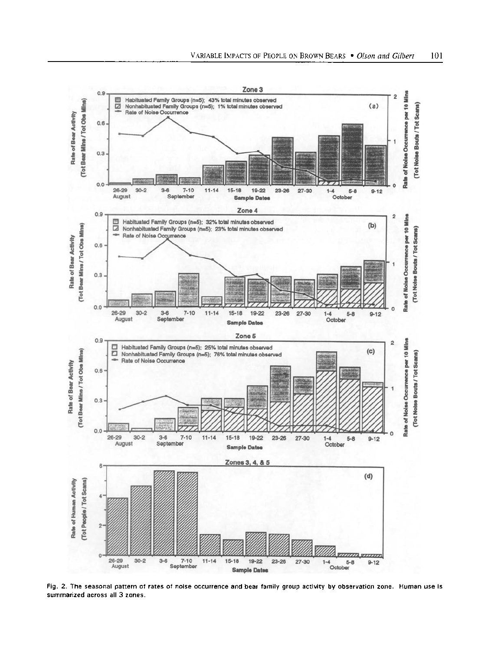

**Fig. 2. The seasonal pattern of rates of noise occurrence and bear family group activity by observation zone. Human use is summarized across all 3 zones.**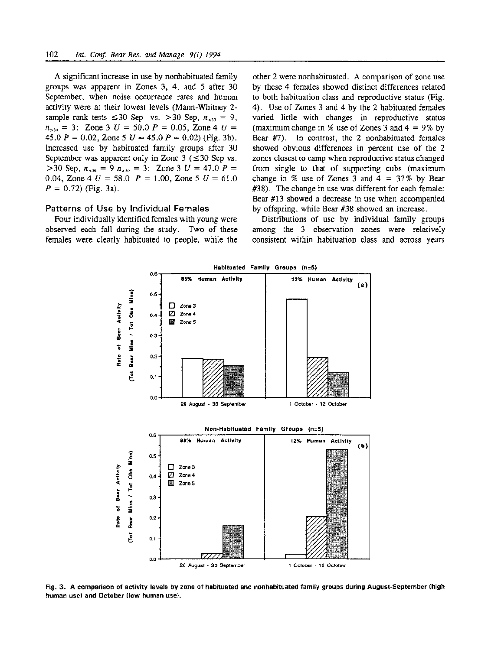**A significant increase in use by nonhabituated family groups was apparent in Zones 3, 4, and 5 after 30 September, when noise occurrence rates and human activity were at their lowest levels (Mann-Whitney 2**  sample rank tests  $\leq 30$  Sep vs.  $> 30$  Sep,  $n_{\leq 30} = 9$ ,  $n_{>30} = 3$ : Zone 3  $U = 50.0$   $P = 0.05$ , Zone 4  $U =$ 45.0  $P = 0.02$ , Zone 5  $U = 45.0 P = 0.02$ ) (Fig. 3b). **Increased use by habituated family groups after 30**  September was apparent only in Zone  $3$  ( $\leq 30$  Sep vs.  $>$ 30 Sep,  $n_{<sub>30</sub>}$  = 9  $n_{>30}$  = 3: Zone 3 U = 47.0 P = 0.04, Zone 4  $U = 58.0$   $P = 1.00$ , Zone 5  $U = 61.0$ **P = 0.72) (Fig. 3a).** 

#### **Patterns of Use by Individual Females**

**Four individually identified females with young were observed each fall during the study. Two of these females were clearly habituated to people, while the** 

**other 2 were nonhabituated. A comparison of zone use by these 4 females showed distinct differences related to both habituation class and reproductive status (Fig. 4). Use of Zones 3 and 4 by the 2 habituated females varied little with changes in reproductive status (maximum change in % use of Zones 3 and 4 = 9% by Bear #7). In contrast, the 2 nonhabituated females showed obvious differences in percent use of the 2 zones closest to camp when reproductive status changed from single to that of supporting cubs (maximum change in % use of Zones 3 and 4 = 37% by Bear #38). The change in use was different for each female: Bear #13 showed a decrease in use when accompanied by offspring, while Bear #38 showed an increase.** 

**Distributions of use by individual family groups among the 3 observation zones were relatively consistent within habituation class and across years** 



**Fig. 3. A comparison of activity levels by zone of habituated and nonhabituated family groups during August-September (high human use) and October (low human use).**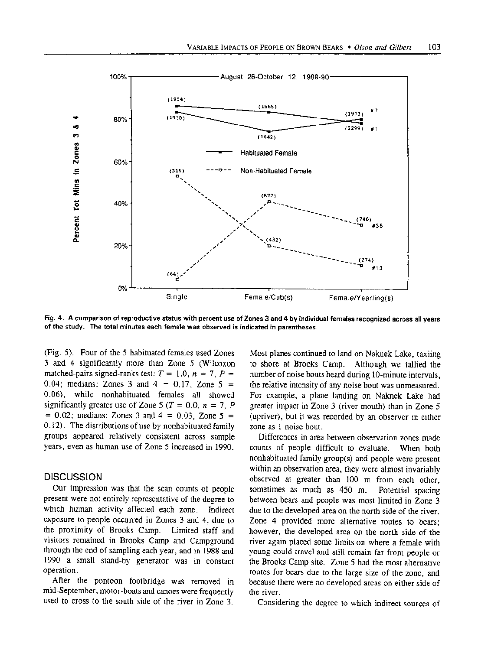

**Fig. 4. A comparison of reproductive status with percent use of Zones 3 and 4 by individual females recognized across all years of the study. The total minutes each female was observed is indicated in parentheses.** 

**(Fig. 5). Four of the 5 habituated females used Zones 3 and 4 significantly more than Zone 5 (Wilcoxon**  matched-pairs signed-ranks test:  $T = 1.0, n = 7, P =$ **0.04; medians: Zones 3 and 4 = 0.17, Zone 5 = 0.06), while nonhabituated females all showed**  significantly greater use of Zone 5 ( $T = 0.0$ ,  $n = 7$ , P **= 0.02; medians: Zones 3 and 4 = 0.03, Zone 5 = 0.12). The distributions of use by nonhabituated family groups appeared relatively consistent across sample years, even as human use of Zone 5 increased in 1990.** 

#### **DISCUSSION**

**Our impression was that the scan counts of people present were not entirely representative of the degree to which human activity affected each zone. Indirect exposure to people occurred in Zones 3 and 4, due to the proximity of Brooks Camp. Limited staff and visitors remained in Brooks Camp and Campground through the end of sampling each year, and in 1988 and 1990 a small stand-by generator was in constant operation.** 

**After the pontoon footbridge was removed in mid-September, motor-boats and canoes were frequently used to cross to the south side of the river in Zone 3.**  **Most planes continued to land on Naknek Lake, taxiing to shore at Brooks Camp. Although we tallied the number of noise bouts heard during 10-minute intervals, the relative intensity of any noise bout was unmeasured. For example, a plane landing on Naknek Lake had greater impact in Zone 3 (river mouth) than in Zone 5 (upriver), but it was recorded by an observer in either zone as 1 noise bout.** 

**Differences in area between observation zones made counts of people difficult to evaluate. When both nonhabituated family group(s) and people were present within an observation area, they were almost invariably observed at greater than 100 m from each other, sometimes as much as 450 m. Potential spacing between bears and people was most limited in Zone 3 due to the developed area on the north side of the river. Zone 4 provided more alternative routes to bears; however, the developed area on the north side of the river again placed some limits on where a female with young could travel and still remain far from people or the Brooks Camp site. Zone 5 had the most alternative routes for bears due to the large size of the zone, and because there were no developed areas on either side of the river.** 

**Considering the degree to which indirect sources of**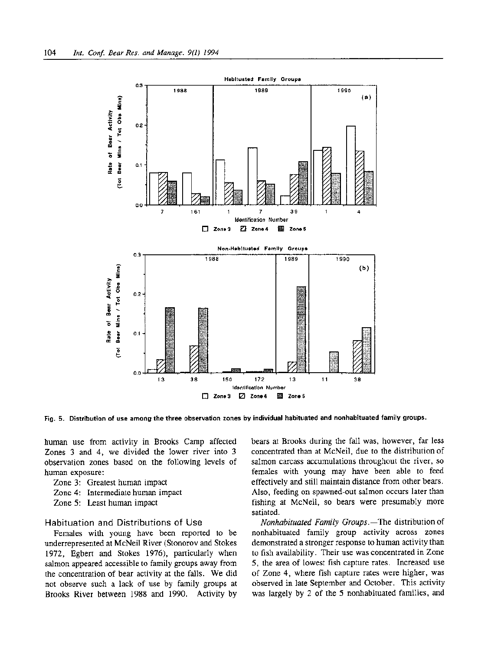

**Fig. 5. Distribution of use among the three observation zones by individual habituated and nonhabituated family groups.** 

**human use from activity in Brooks Camp affected Zones 3 and 4, we divided the lower river into 3 observation zones based on the following levels of human exposure:** 

- **Zone 3: Greatest human impact**
- **Zone 4: Intermediate human impact**
- **Zone 5: Least human impact**

#### **Habituation and Distributions of Use**

**Females with young have been reported to be underrepresented at McNeil River (Stonorov and Stokes 1972, Egbert and Stokes 1976), particularly when salmon appeared accessible to family groups away from the concentration of bear activity at the falls. We did not observe such a lack of use by family groups at Brooks River between 1988 and 1990. Activity by** 

**bears at Brooks during the fall was, however, far less concentrated than at McNeil, due to the distribution of salmon carcass accumulations throughout the river, so females with young may have been able to feed effectively and still maintain distance from other bears. Also, feeding on spawned-out salmon occurs later than fishing at McNeil, so bears were presumably more satiated.** 

**Nonhabituated Family Groups.-The distribution of nonhabituated family group activity across zones demonstrated a stronger response to human activity than to fish availability. Their use was concentrated in Zone 5, the area of lowest fish capture rates. Increased use of Zone 4, where fish capture rates were higher, was observed in late September and October. This activity was largely by 2 of the 5 nonhabituated families, and**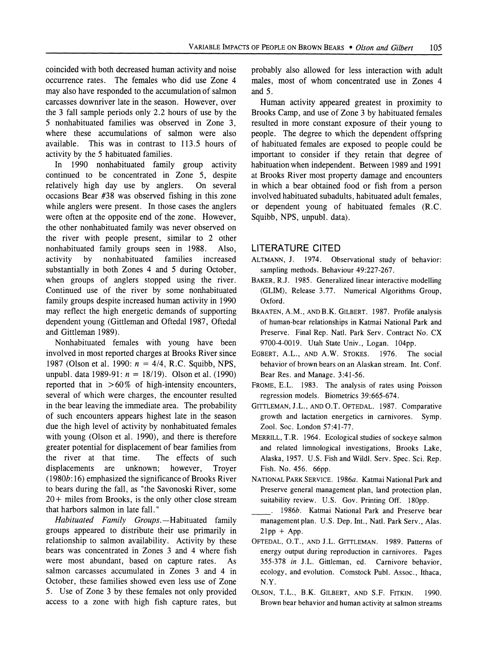**coincided with both decreased human activity and noise occurrence rates. The females who did use Zone 4 may also have responded to the accumulation of salmon carcasses downriver late in the season. However, over the 3 fall sample periods only 2.2 hours of use by the 5 nonhabituated families was observed in Zone 3, where these accumulations of salmon were also available. This was in contrast to 113.5 hours of activity by the 5 habituated families.** 

**In 1990 nonhabituated family group activity continued to be concentrated in Zone 5, despite**  relatively high day use by anglers. **occasions Bear #38 was observed fishing in this zone while anglers were present. In those cases the anglers were often at the opposite end of the zone. However, the other nonhabituated family was never observed on the river with people present, similar to 2 other nonhabituated family groups seen in 1988. Also, activity by nonhabituated families increased substantially in both Zones 4 and 5 during October, when groups of anglers stopped using the river. Continued use of the river by some nonhabituated family groups despite increased human activity in 1990 may reflect the high energetic demands of supporting dependent young (Gittleman and Oftedal 1987, Oftedal and Gittleman 1989).** 

**Nonhabituated females with young have been involved in most reported charges at Brooks River since 1987 (Olson et al. 1990: n = 4/4, R.C. Squibb, NPS, unpubl. data 1989-91: n = 18/19). Olson et al. (1990) reported that in >60% of high-intensity encounters, several of which were charges, the encounter resulted in the bear leaving the immediate area. The probability of such encounters appears highest late in the season due the high level of activity by nonhabituated females with young (Olson et al. 1990), and there is therefore greater potential for displacement of bear families from**  the river at that time. **displacements are unknown; however, Troyer (1980b: 16) emphasized the significance of Brooks River to bears during the fall, as "the Savonoski River, some 20 + miles from Brooks, is the only other close stream that harbors salmon in late fall."** 

**Habituated Family Groups.--Habituated family groups appeared to distribute their use primarily in relationship to salmon availability. Activity by these bears was concentrated in Zones 3 and 4 where fish were most abundant, based on capture rates. As salmon carcasses accumulated in Zones 3 and 4 in October, these families showed even less use of Zone 5. Use of Zone 3 by these females not only provided access to a zone with high fish capture rates, but**  **probably also allowed for less interaction with adult males, most of whom concentrated use in Zones 4 and 5.** 

**Human activity appeared greatest in proximity to Brooks Camp, and use of Zone 3 by habituated females resulted in more constant exposure of their young to people. The degree to which the dependent offspring of habituated females are exposed to people could be important to consider if they retain that degree of habituation when independent. Between 1989 and 1991 at Brooks River most property damage and encounters in which a bear obtained food or fish from a person involved habituated subadults, habituated adult females, or dependent young of habituated females (R.C. Squibb, NPS, unpubl. data).** 

### **LITERATURE CITED**

- **ALTMANN, J. 1974. Observational study of behavior: sampling methods. Behaviour 49:227-267.**
- **BAKER, R.J. 1985. Generalized linear interactive modelling (GLIM), Release 3.77. Numerical Algorithms Group, Oxford.**
- **BRAATEN, A.M., ANDB.K. GILBERT. 1987. Profile analysis of human-bear relationships in Katmai National Park and Preserve. Final Rep. Natl. Park Serv. Contract No. CX 9700-4-0019. Utah State Univ., Logan. 104pp.**
- **EGBERT, A.L., AND A.W. STOKES. 1976. The social behavior of brown bears on an Alaskan stream. Int. Conf. Bear Res. and Manage. 3:41-56.**
- **FROME, E.L. 1983. The analysis of rates using Poisson regression models. Biometrics 39:665-674.**
- **GITTLEMAN, J.L., AND O.T. OFTEDAL. 1987. Comparative growth and lactation energetics in carnivores. Symp. Zool. Soc. London 57:41-77.**
- **MERRILL, T.R. 1964. Ecological studies of sockeye salmon and related limnological investigations, Brooks Lake, Alaska, 1957. U.S. Fish and Wildl. Serv. Spec. Sci. Rep. Fish. No. 456. 66pp.**
- **NATIONAL PARK SERVICE. 1986a. Katmai National Park and Preserve general management plan, land protection plan, suitability review. U.S. Gov. Printing Off. 180pp.**
- **. 1986b. Katmai National Park and Preserve bear management plan. U.S. Dep. Int., Natl. Park Serv., Alas. 21pp + App.**
- **OFTEDAL, O.T., AND J.L. GITTLEMAN. 1989. Patterns of energy output during reproduction in carnivores. Pages 355-378 in J.L. Gittleman, ed. Carnivore behavior, ecology, and evolution. Comstock Publ. Assoc., Ithaca, N.Y.**
- **OLSON, T.L., B.K. GILBERT, AND S.F. FITKIN. 1990. Brown bear behavior and human activity at salmon streams**